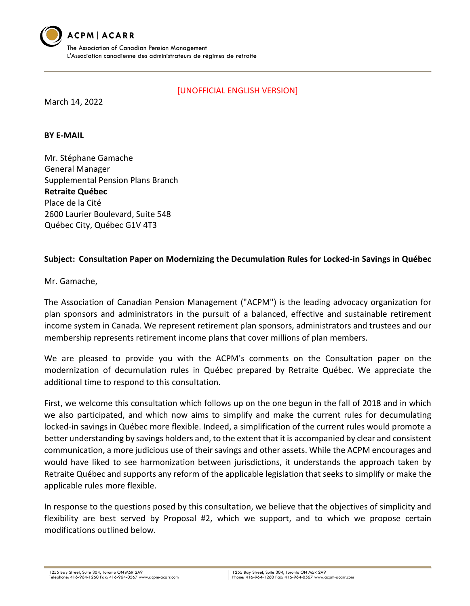

[UNOFFICIAL ENGLISH VERSION]

March 14, 2022

## **BY E-MAIL**

Mr. Stéphane Gamache General Manager Supplemental Pension Plans Branch **Retraite Québec**  Place de la Cité 2600 Laurier Boulevard, Suite 548 Québec City, Québec G1V 4T3

## **Subject: Consultation Paper on Modernizing the Decumulation Rules for Locked-in Savings in Québec**

Mr. Gamache,

The Association of Canadian Pension Management ("ACPM") is the leading advocacy organization for plan sponsors and administrators in the pursuit of a balanced, effective and sustainable retirement income system in Canada. We represent retirement plan sponsors, administrators and trustees and our membership represents retirement income plans that cover millions of plan members.

We are pleased to provide you with the ACPM's comments on the Consultation paper on the modernization of decumulation rules in Québec prepared by Retraite Québec. We appreciate the additional time to respond to this consultation.

First, we welcome this consultation which follows up on the one begun in the fall of 2018 and in which we also participated, and which now aims to simplify and make the current rules for decumulating locked-in savings in Québec more flexible. Indeed, a simplification of the current rules would promote a better understanding by savings holders and, to the extent that it is accompanied by clear and consistent communication, a more judicious use of their savings and other assets. While the ACPM encourages and would have liked to see harmonization between jurisdictions, it understands the approach taken by Retraite Québec and supports any reform of the applicable legislation that seeks to simplify or make the applicable rules more flexible.

In response to the questions posed by this consultation, we believe that the objectives of simplicity and flexibility are best served by Proposal #2, which we support, and to which we propose certain modifications outlined below.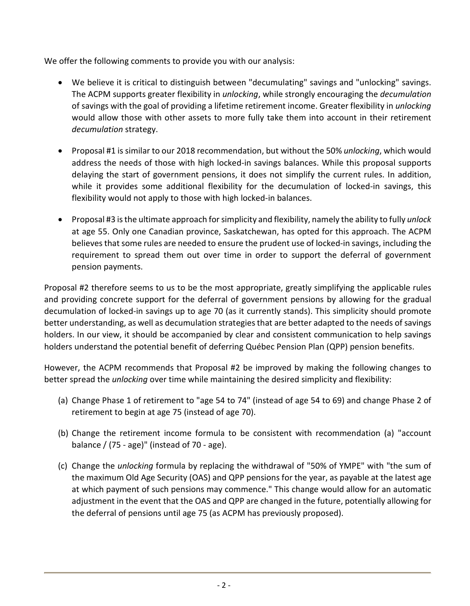We offer the following comments to provide you with our analysis:

- We believe it is critical to distinguish between "decumulating" savings and "unlocking" savings. The ACPM supports greater flexibility in *unlocking*, while strongly encouraging the *decumulation*  of savings with the goal of providing a lifetime retirement income. Greater flexibility in *unlocking*  would allow those with other assets to more fully take them into account in their retirement *decumulation* strategy.
- Proposal #1 is similar to our 2018 recommendation, but without the 50% *unlocking*, which would address the needs of those with high locked-in savings balances. While this proposal supports delaying the start of government pensions, it does not simplify the current rules. In addition, while it provides some additional flexibility for the decumulation of locked-in savings, this flexibility would not apply to those with high locked-in balances.
- Proposal #3 is the ultimate approach for simplicity and flexibility, namely the ability to fully *unlock*  at age 55. Only one Canadian province, Saskatchewan, has opted for this approach. The ACPM believes that some rules are needed to ensure the prudent use of locked-in savings, including the requirement to spread them out over time in order to support the deferral of government pension payments.

Proposal #2 therefore seems to us to be the most appropriate, greatly simplifying the applicable rules and providing concrete support for the deferral of government pensions by allowing for the gradual decumulation of locked-in savings up to age 70 (as it currently stands). This simplicity should promote better understanding, as well as decumulation strategies that are better adapted to the needs of savings holders. In our view, it should be accompanied by clear and consistent communication to help savings holders understand the potential benefit of deferring Québec Pension Plan (QPP) pension benefits.

However, the ACPM recommends that Proposal #2 be improved by making the following changes to better spread the *unlocking* over time while maintaining the desired simplicity and flexibility:

- (a) Change Phase 1 of retirement to "age 54 to 74" (instead of age 54 to 69) and change Phase 2 of retirement to begin at age 75 (instead of age 70).
- (b) Change the retirement income formula to be consistent with recommendation (a) "account balance / (75 - age)" (instead of 70 - age).
- (c) Change the *unlocking* formula by replacing the withdrawal of "50% of YMPE" with "the sum of the maximum Old Age Security (OAS) and QPP pensions for the year, as payable at the latest age at which payment of such pensions may commence." This change would allow for an automatic adjustment in the event that the OAS and QPP are changed in the future, potentially allowing for the deferral of pensions until age 75 (as ACPM has previously proposed).